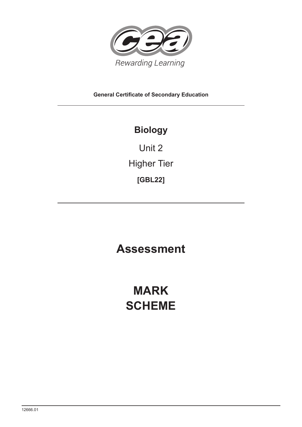

**General Certificate of Secondary Education**

## **Biology**

Unit 2 Higher Tier **[GBL22]**

**Assessment**

# **MARK SCHEME**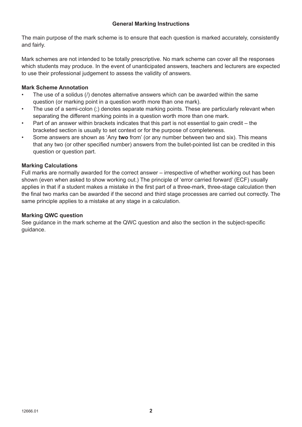The main purpose of the mark scheme is to ensure that each question is marked accurately, consistently and fairly.

Mark schemes are not intended to be totally prescriptive. No mark scheme can cover all the responses which students may produce. In the event of unanticipated answers, teachers and lecturers are expected to use their professional judgement to assess the validity of answers.

### **Mark Scheme Annotation**

- The use of a solidus (/) denotes alternative answers which can be awarded within the same question (or marking point in a question worth more than one mark).
- The use of a semi-colon (;) denotes separate marking points. These are particularly relevant when separating the different marking points in a question worth more than one mark.
- Part of an answer within brackets indicates that this part is not essential to gain credit the bracketed section is usually to set context or for the purpose of completeness.
- Some answers are shown as 'Any **two** from' (or any number between two and six). This means that any two (or other specified number) answers from the bullet-pointed list can be credited in this question or question part.

### **Marking Calculations**

Full marks are normally awarded for the correct answer – irrespective of whether working out has been shown (even when asked to show working out.) The principle of 'error carried forward' (ECF) usually applies in that if a student makes a mistake in the first part of a three-mark, three-stage calculation then the final two marks can be awarded if the second and third stage processes are carried out correctly. The same principle applies to a mistake at any stage in a calculation.

### **Marking QWC question**

See guidance in the mark scheme at the QWC question and also the section in the subject-specific guidance.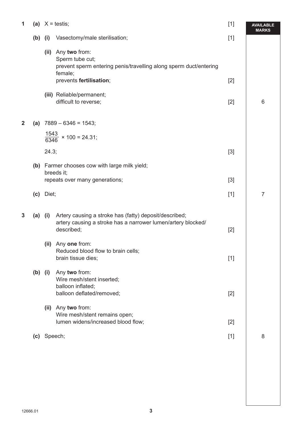| 1            |           |                                    | (a) $X = \text{testis}$ ;                                                                                                                        | $[1]$ | <b>AVAILABLE</b><br><b>MARKS</b> |
|--------------|-----------|------------------------------------|--------------------------------------------------------------------------------------------------------------------------------------------------|-------|----------------------------------|
|              | (b)       | (i)                                | Vasectomy/male sterilisation;                                                                                                                    | $[1]$ |                                  |
|              |           |                                    | (ii) Any two from:<br>Sperm tube cut;<br>prevent sperm entering penis/travelling along sperm duct/entering<br>female;<br>prevents fertilisation; | $[2]$ |                                  |
|              |           |                                    | (iii) Reliable/permanent;<br>difficult to reverse;                                                                                               | $[2]$ | 6                                |
| $\mathbf{2}$ |           |                                    | (a) $7889 - 6346 = 1543$ ;                                                                                                                       |       |                                  |
|              |           | $\frac{1543}{6346}$ × 100 = 24.31; |                                                                                                                                                  |       |                                  |
|              |           | 24.3;                              |                                                                                                                                                  | $[3]$ |                                  |
|              |           |                                    | (b) Farmer chooses cow with large milk yield;<br>breeds it;                                                                                      |       |                                  |
|              |           |                                    | repeats over many generations;                                                                                                                   | $[3]$ |                                  |
|              | (c)       | Diet;                              |                                                                                                                                                  | $[1]$ | $\overline{7}$                   |
| $\mathbf{3}$ | $(a)$ (i) |                                    | Artery causing a stroke has (fatty) deposit/described;<br>artery causing a stroke has a narrower lumen/artery blocked/<br>described;             | $[2]$ |                                  |
|              |           |                                    | (ii) Any one from:<br>Reduced blood flow to brain cells;<br>brain tissue dies;                                                                   | $[1]$ |                                  |
|              | $(b)$ (i) |                                    | Any two from:<br>Wire mesh/stent inserted;<br>balloon inflated;<br>balloon deflated/removed;                                                     | $[2]$ |                                  |
|              |           |                                    | (ii) Any two from:<br>Wire mesh/stent remains open;<br>lumen widens/increased blood flow;                                                        | $[2]$ |                                  |
|              | (c)       |                                    | Speech;                                                                                                                                          | $[1]$ | 8                                |
|              |           |                                    |                                                                                                                                                  |       |                                  |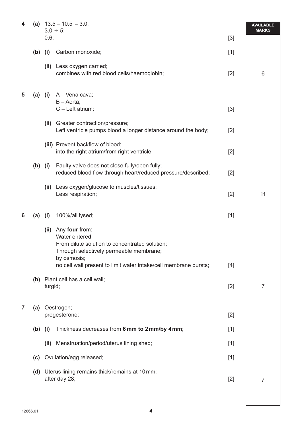| 4 | (a)       | $13.5 - 10.5 = 3.0$ ;<br>$3.0 \div 5;$ |                                                                                                                                                                                                                  | <b>AVAILABLE</b><br><b>MARKS</b> |                |
|---|-----------|----------------------------------------|------------------------------------------------------------------------------------------------------------------------------------------------------------------------------------------------------------------|----------------------------------|----------------|
|   |           | 0.6;                                   |                                                                                                                                                                                                                  | $[3]$                            |                |
|   | $(b)$ (i) |                                        | Carbon monoxide;                                                                                                                                                                                                 | $[1]$                            |                |
|   |           | (ii)                                   | Less oxygen carried;<br>combines with red blood cells/haemoglobin;                                                                                                                                               | $[2]$                            | 6              |
| 5 | $(a)$ (i) |                                        | A - Vena cava;<br>$B - A$ orta;<br>C - Left atrium;                                                                                                                                                              | $[3]$                            |                |
|   |           |                                        | (ii) Greater contraction/pressure;<br>Left ventricle pumps blood a longer distance around the body;                                                                                                              | $[2]$                            |                |
|   |           |                                        | (iii) Prevent backflow of blood;<br>into the right atrium/from right ventricle;                                                                                                                                  | $[2]$                            |                |
|   | $(b)$ (i) |                                        | Faulty valve does not close fully/open fully;<br>reduced blood flow through heart/reduced pressure/described;                                                                                                    | $[2]$                            |                |
|   |           | (ii)                                   | Less oxygen/glucose to muscles/tissues;<br>Less respiration;                                                                                                                                                     | $[2]$                            | 11             |
| 6 | (a)       | (i)                                    | 100%/all lysed;                                                                                                                                                                                                  | $[1]$                            |                |
|   |           | (ii)                                   | Any four from:<br>Water entered;<br>From dilute solution to concentrated solution;<br>Through selectively permeable membrane;<br>by osmosis;<br>no cell wall present to limit water intake/cell membrane bursts; | $[4]$                            |                |
|   |           | turgid;                                | (b) Plant cell has a cell wall;                                                                                                                                                                                  | $[2]$                            | 7              |
| 7 |           |                                        | (a) Oestrogen;<br>progesterone;                                                                                                                                                                                  | $[2]$                            |                |
|   | $(b)$ (i) |                                        | Thickness decreases from 6 mm to 2 mm/by 4 mm;                                                                                                                                                                   | $[1]$                            |                |
|   |           | (ii)                                   | Menstruation/period/uterus lining shed;                                                                                                                                                                          | $[1]$                            |                |
|   | (c)       |                                        | Ovulation/egg released;                                                                                                                                                                                          | $[1]$                            |                |
|   |           |                                        | (d) Uterus lining remains thick/remains at 10 mm;<br>after day 28;                                                                                                                                               | $[2]$                            | $\overline{7}$ |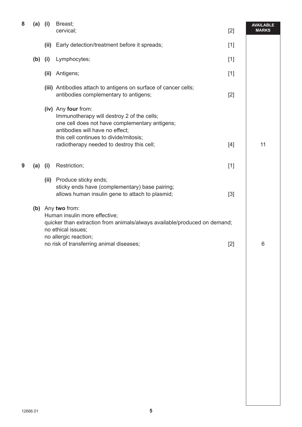| 8 | $(a)$ (i) |      | Breast;<br>cervical;                                                                                                                                                                                                                                                                                                                                         | $[2]$          | <b>AVAILABLE</b><br><b>MARKS</b> |
|---|-----------|------|--------------------------------------------------------------------------------------------------------------------------------------------------------------------------------------------------------------------------------------------------------------------------------------------------------------------------------------------------------------|----------------|----------------------------------|
|   |           | (ii) | Early detection/treatment before it spreads;                                                                                                                                                                                                                                                                                                                 | $[1]$          |                                  |
|   | (b)       | (i)  | Lymphocytes;                                                                                                                                                                                                                                                                                                                                                 | $[1]$          |                                  |
|   |           | (ii) | Antigens;                                                                                                                                                                                                                                                                                                                                                    | $[1]$          |                                  |
|   |           |      | (iii) Antibodies attach to antigens on surface of cancer cells;<br>antibodies complementary to antigens;                                                                                                                                                                                                                                                     | $[2]$          |                                  |
|   |           |      | (iv) Any four from:<br>Immunotherapy will destroy 2 of the cells;<br>one cell does not have complementary antigens;<br>antibodies will have no effect;<br>this cell continues to divide/mitosis;<br>radiotherapy needed to destroy this cell;                                                                                                                | $[4]$          | 11                               |
| 9 | (a)       | (i)  | Restriction;                                                                                                                                                                                                                                                                                                                                                 | $[1]$          |                                  |
|   |           |      | (ii) Produce sticky ends;<br>sticky ends have (complementary) base pairing;<br>allows human insulin gene to attach to plasmid;<br>(b) Any two from:<br>Human insulin more effective;<br>quicker than extraction from animals/always available/produced on demand;<br>no ethical issues;<br>no allergic reaction;<br>no risk of transferring animal diseases; | $[3]$<br>$[2]$ | 6                                |
|   |           |      |                                                                                                                                                                                                                                                                                                                                                              |                |                                  |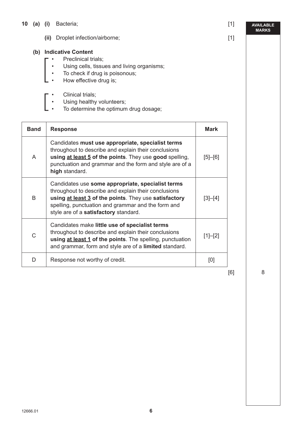- **10 (a) (i)** Bacteria; [1]
	- **(ii)** Droplet infection/airborne; [1]

#### **(b) Indicative Content**

- Preclinical trials;
- Using cells, tissues and living organisms;
- To check if drug is poisonous;
- How effective drug is;
- <sup>•</sup> Clinical trials;<br>• Using healthy<br>• To determine
	- Using healthy volunteers;
	- To determine the optimum drug dosage;

| <b>Band</b>  | <b>Response</b>                                                                                                                                                                                                                                                   | Mark        |
|--------------|-------------------------------------------------------------------------------------------------------------------------------------------------------------------------------------------------------------------------------------------------------------------|-------------|
| A            | Candidates must use appropriate, specialist terms<br>throughout to describe and explain their conclusions<br>using at least 5 of the points. They use good spelling,<br>punctuation and grammar and the form and style are of a<br>high standard.                 | $[5] - [6]$ |
| B            | Candidates use some appropriate, specialist terms<br>throughout to describe and explain their conclusions<br>using at least 3 of the points. They use satisfactory<br>spelling, punctuation and grammar and the form and<br>style are of a satisfactory standard. | $[3]-[4]$   |
| $\mathsf{C}$ | Candidates make little use of specialist terms<br>throughout to describe and explain their conclusions<br>using at least 1 of the points. The spelling, punctuation<br>and grammar, form and style are of a limited standard.                                     | $[1]-[2]$   |
| D.           | Response not worthy of credit.                                                                                                                                                                                                                                    | [0]         |

[6]

8

**AVAILABLE MARKS**